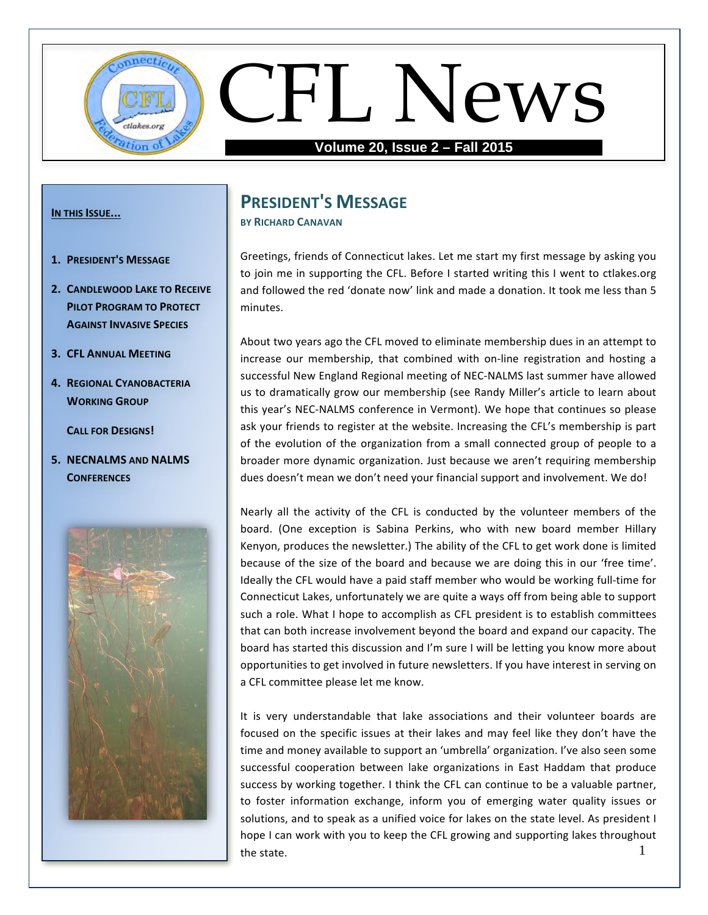

#### **IN THIS ISSUE...**

- **1. PRESIDENT'S MESSAGE**
- **2. CANDLEWOOD LAKE TO RECEIVE PILOT PROGRAM TO PROTECT AGAINST INVASIVE SPECIES**
- **3. CFL ANNUAL MEETING**
- **4. REGIONAL CYANOBACTERIA WORKING GROUP**

**CALL FOR DESIGNS!** 

**5. NECNALMS AND NALMS CONFERENCES**



## **PRESIDENT'S MESSAGE**

**BY RICHARD CANAVAN** 

Greetings, friends of Connecticut lakes. Let me start my first message by asking you to join me in supporting the CFL. Before I started writing this I went to ctlakes.org and followed the red 'donate now' link and made a donation. It took me less than 5 minutes. 

About two years ago the CFL moved to eliminate membership dues in an attempt to increase our membership, that combined with on-line registration and hosting a successful New England Regional meeting of NEC-NALMS last summer have allowed us to dramatically grow our membership (see Randy Miller's article to learn about this year's NEC-NALMS conference in Vermont). We hope that continues so please ask your friends to register at the website. Increasing the CFL's membership is part of the evolution of the organization from a small connected group of people to a broader more dynamic organization. Just because we aren't requiring membership dues doesn't mean we don't need your financial support and involvement. We do!

Nearly all the activity of the CFL is conducted by the volunteer members of the board. (One exception is Sabina Perkins, who with new board member Hillary Kenyon, produces the newsletter.) The ability of the CFL to get work done is limited because of the size of the board and because we are doing this in our 'free time'. Ideally the CFL would have a paid staff member who would be working full-time for Connecticut Lakes, unfortunately we are quite a ways off from being able to support such a role. What I hope to accomplish as CFL president is to establish committees that can both increase involvement beyond the board and expand our capacity. The board has started this discussion and I'm sure I will be letting you know more about opportunities to get involved in future newsletters. If you have interest in serving on a CFL committee please let me know.

1 It is very understandable that lake associations and their volunteer boards are focused on the specific issues at their lakes and may feel like they don't have the time and money available to support an 'umbrella' organization. I've also seen some successful cooperation between lake organizations in East Haddam that produce success by working together. I think the CFL can continue to be a valuable partner, to foster information exchange, inform you of emerging water quality issues or solutions, and to speak as a unified voice for lakes on the state level. As president I hope I can work with you to keep the CFL growing and supporting lakes throughout the state.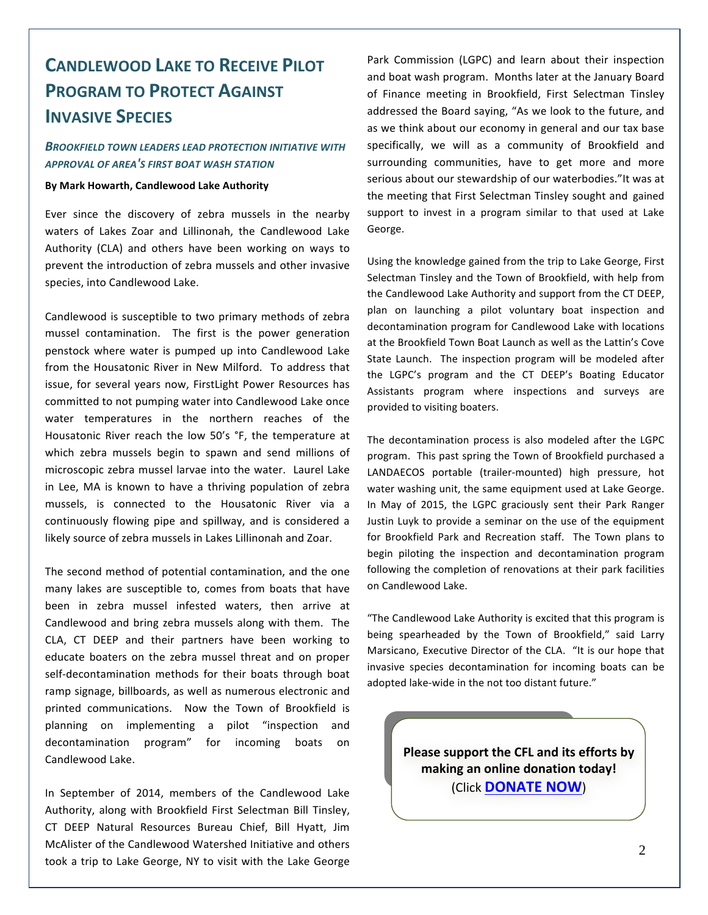# **CANDLEWOOD LAKE TO RECEIVE PILOT PROGRAM TO PROTECT AGAINST INVASIVE SPECIES**

### **BROOKFIELD TOWN LEADERS LEAD PROTECTION INITIATIVE WITH** *APPROVAL OF AREA'S FIRST BOAT WASH STATION*

#### **By Mark Howarth, Candlewood Lake Authority**

Ever since the discovery of zebra mussels in the nearby waters of Lakes Zoar and Lillinonah, the Candlewood Lake Authority (CLA) and others have been working on ways to prevent the introduction of zebra mussels and other invasive species, into Candlewood Lake.

Candlewood is susceptible to two primary methods of zebra mussel contamination. The first is the power generation penstock where water is pumped up into Candlewood Lake from the Housatonic River in New Milford. To address that issue, for several years now, FirstLight Power Resources has committed to not pumping water into Candlewood Lake once water temperatures in the northern reaches of the Housatonic River reach the low 50's °F, the temperature at which zebra mussels begin to spawn and send millions of microscopic zebra mussel larvae into the water. Laurel Lake in Lee, MA is known to have a thriving population of zebra mussels, is connected to the Housatonic River via a continuously flowing pipe and spillway, and is considered a likely source of zebra mussels in Lakes Lillinonah and Zoar.

The second method of potential contamination, and the one many lakes are susceptible to, comes from boats that have been in zebra mussel infested waters, then arrive at Candlewood and bring zebra mussels along with them. The CLA, CT DEEP and their partners have been working to educate boaters on the zebra mussel threat and on proper self-decontamination methods for their boats through boat ramp signage, billboards, as well as numerous electronic and printed communications. Now the Town of Brookfield is planning on implementing a pilot "inspection and decontamination program" for incoming boats on Candlewood Lake.

In September of 2014, members of the Candlewood Lake Authority, along with Brookfield First Selectman Bill Tinsley, CT DEEP Natural Resources Bureau Chief, Bill Hyatt, Jim McAlister of the Candlewood Watershed Initiative and others took a trip to Lake George, NY to visit with the Lake George Park Commission (LGPC) and learn about their inspection and boat wash program. Months later at the January Board of Finance meeting in Brookfield, First Selectman Tinsley addressed the Board saying, "As we look to the future, and as we think about our economy in general and our tax base specifically, we will as a community of Brookfield and surrounding communities, have to get more and more serious about our stewardship of our waterbodies."It was at the meeting that First Selectman Tinsley sought and gained support to invest in a program similar to that used at Lake George.

Using the knowledge gained from the trip to Lake George, First Selectman Tinsley and the Town of Brookfield, with help from the Candlewood Lake Authority and support from the CT DEEP, plan on launching a pilot voluntary boat inspection and decontamination program for Candlewood Lake with locations at the Brookfield Town Boat Launch as well as the Lattin's Cove State Launch. The inspection program will be modeled after the LGPC's program and the CT DEEP's Boating Educator Assistants program where inspections and surveys are provided to visiting boaters.

The decontamination process is also modeled after the LGPC program. This past spring the Town of Brookfield purchased a LANDAECOS portable (trailer-mounted) high pressure, hot water washing unit, the same equipment used at Lake George. In May of 2015, the LGPC graciously sent their Park Ranger Justin Luyk to provide a seminar on the use of the equipment for Brookfield Park and Recreation staff. The Town plans to begin piloting the inspection and decontamination program following the completion of renovations at their park facilities on Candlewood Lake.

"The Candlewood Lake Authority is excited that this program is being spearheaded by the Town of Brookfield," said Larry Marsicano, Executive Director of the CLA. "It is our hope that invasive species decontamination for incoming boats can be adopted lake-wide in the not too distant future."

> **Please support the CFL and its efforts by** making an online donation today! (Click **DONATE NOW**)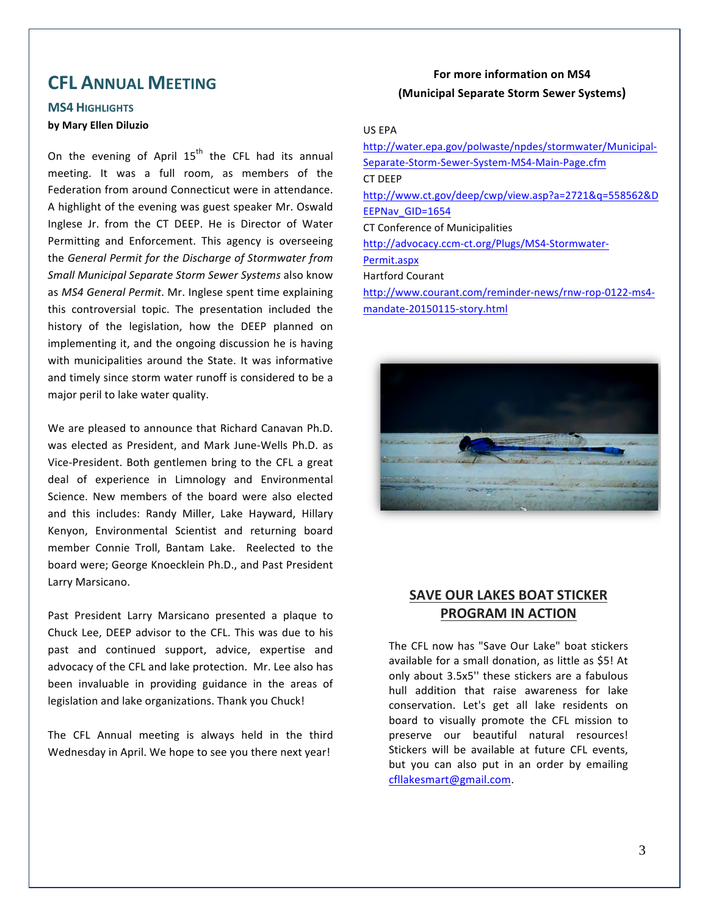## **CFL ANNUAL MEETING**

## **MS4 HIGHLIGHTS by Mary Ellen Diluzio**

On the evening of April  $15<sup>th</sup>$  the CFL had its annual meeting. It was a full room, as members of the Federation from around Connecticut were in attendance. A highlight of the evening was guest speaker Mr. Oswald Inglese Jr. from the CT DEEP. He is Director of Water Permitting and Enforcement. This agency is overseeing the General Permit for the Discharge of Stormwater from *Small Municipal Separate Storm Sewer Systems* also know as MS4 General Permit. Mr. Inglese spent time explaining this controversial topic. The presentation included the history of the legislation, how the DEEP planned on implementing it, and the ongoing discussion he is having with municipalities around the State. It was informative and timely since storm water runoff is considered to be a major peril to lake water quality.

We are pleased to announce that Richard Canavan Ph.D. was elected as President, and Mark June-Wells Ph.D. as Vice-President. Both gentlemen bring to the CFL a great deal of experience in Limnology and Environmental Science. New members of the board were also elected and this includes: Randy Miller, Lake Hayward, Hillary Kenyon, Environmental Scientist and returning board member Connie Troll, Bantam Lake. Reelected to the board were; George Knoecklein Ph.D., and Past President Larry Marsicano.

Past President Larry Marsicano presented a plaque to Chuck Lee, DEEP advisor to the CFL. This was due to his past and continued support, advice, expertise and advocacy of the CFL and lake protection. Mr. Lee also has been invaluable in providing guidance in the areas of legislation and lake organizations. Thank you Chuck!

The CFL Annual meeting is always held in the third Wednesday in April. We hope to see you there next year!

## **For more information on MS4 (Municipal Separate Storm Sewer Systems)**

#### US EPA

http://water.epa.gov/polwaste/npdes/stormwater/Municipal-Separate-Storm-Sewer-System-MS4-Main-Page.cfm CT DEEP http://www.ct.gov/deep/cwp/view.asp?a=2721&q=558562&D EEPNav\_GID=1654 CT Conference of Municipalities http://advocacy.ccm-ct.org/Plugs/MS4-Stormwater-Permit.aspx Hartford Courant http://www.courant.com/reminder-news/rnw-rop-0122-ms4 mandate-20150115-story.html



## **SAVE OUR LAKES BOAT STICKER PROGRAM IN ACTION**

The CFL now has "Save Our Lake" boat stickers available for a small donation, as little as \$5! At only about 3.5x5" these stickers are a fabulous hull addition that raise awareness for lake conservation. Let's get all lake residents on board to visually promote the CFL mission to preserve our beautiful natural resources! Stickers will be available at future CFL events, but you can also put in an order by emailing cfllakesmart@gmail.com.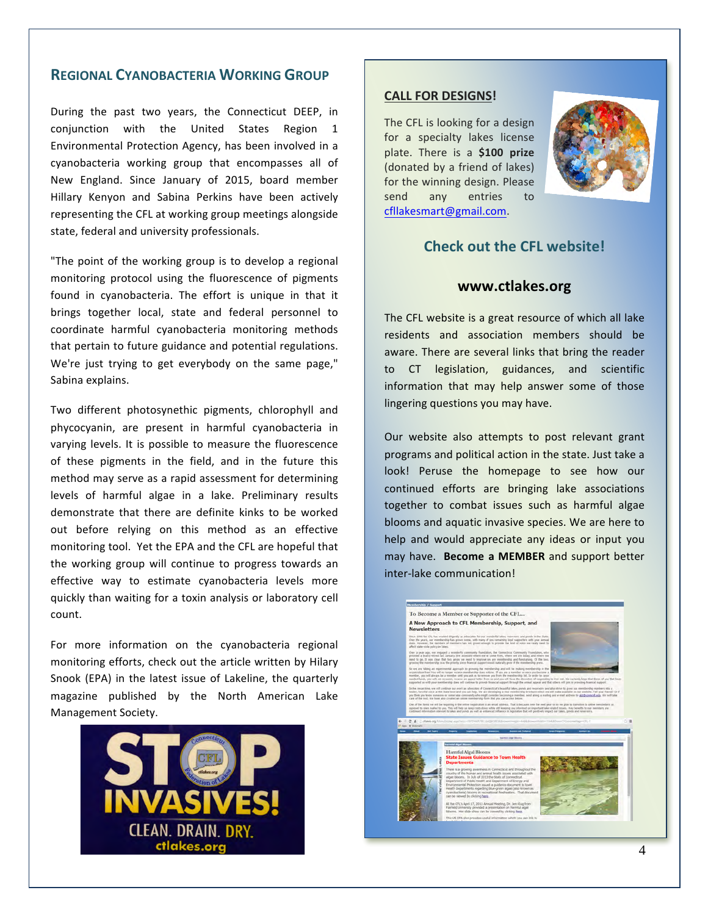## **REGIONAL CYANOBACTERIA WORKING GROUP**

During the past two years, the Connecticut DEEP, in conjunction with the United States Region 1 Environmental Protection Agency, has been involved in a cyanobacteria working group that encompasses all of New England. Since January of 2015, board member Hillary Kenyon and Sabina Perkins have been actively representing the CFL at working group meetings alongside state, federal and university professionals.

"The point of the working group is to develop a regional monitoring protocol using the fluorescence of pigments found in cyanobacteria. The effort is unique in that it brings together local, state and federal personnel to coordinate harmful cyanobacteria monitoring methods that pertain to future guidance and potential regulations. We're just trying to get everybody on the same page," Sabina explains.

Two different photosynethic pigments, chlorophyll and phycocyanin, are present in harmful cyanobacteria in varying levels. It is possible to measure the fluorescence of these pigments in the field, and in the future this method may serve as a rapid assessment for determining levels of harmful algae in a lake. Preliminary results demonstrate that there are definite kinks to be worked out before relying on this method as an effective monitoring tool. Yet the EPA and the CFL are hopeful that the working group will continue to progress towards an effective way to estimate cyanobacteria levels more quickly than waiting for a toxin analysis or laboratory cell count.

For more information on the cyanobacteria regional monitoring efforts, check out the article written by Hilary Snook (EPA) in the latest issue of Lakeline, the quarterly magazine published by the North American Lake Management Society.



#### **CALL FOR DESIGNS!**

The CFL is looking for a design for a specialty lakes license plate. There is a **\$100 prize** (donated by a friend of lakes) for the winning design. Please send any entries to cfllakesmart@gmail.com.



## **Check out the CFL website!**

#### **www.ctlakes.org**

The CFL website is a great resource of which all lake residents and association members should be aware. There are several links that bring the reader to CT legislation, guidances, and scientific information that may help answer some of those lingering questions you may have.

Our website also attempts to post relevant grant programs and political action in the state. Just take a look! Peruse the homepage to see how our continued efforts are bringing lake associations together to combat issues such as harmful algae blooms and aquatic invasive species. We are here to help and would appreciate any ideas or input you may have. **Become a MEMBER** and support better inter-lake communication!

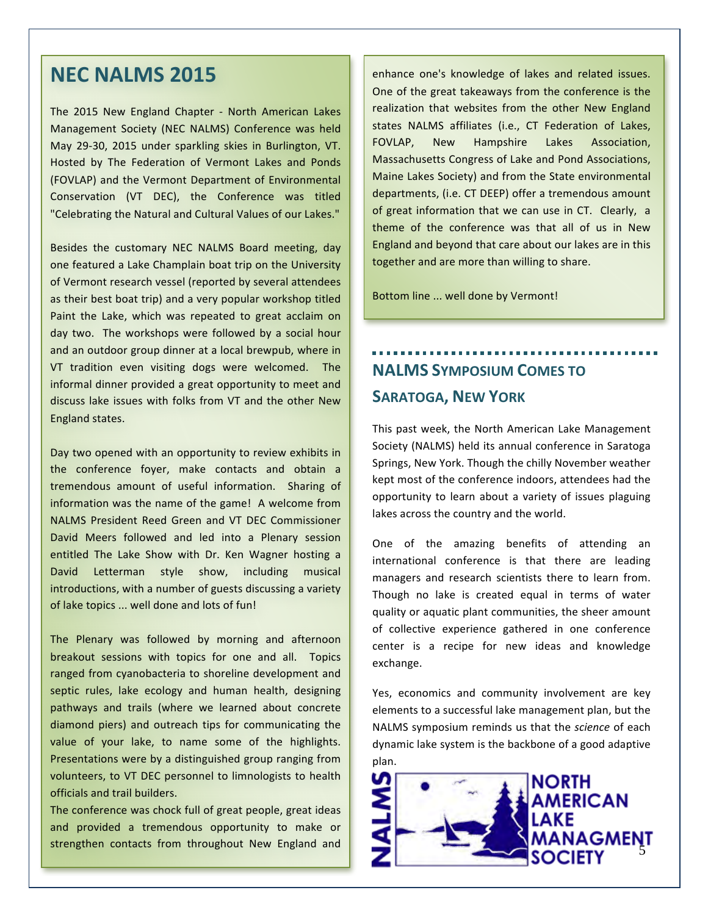# **NEC NALMS 2015**

The 2015 New England Chapter - North American Lakes Management Society (NEC NALMS) Conference was held May 29-30, 2015 under sparkling skies in Burlington, VT. Hosted by The Federation of Vermont Lakes and Ponds (FOVLAP) and the Vermont Department of Environmental Conservation (VT DEC), the Conference was titled "Celebrating the Natural and Cultural Values of our Lakes."

Besides the customary NEC NALMS Board meeting, day one featured a Lake Champlain boat trip on the University of Vermont research vessel (reported by several attendees as their best boat trip) and a very popular workshop titled Paint the Lake, which was repeated to great acclaim on day two. The workshops were followed by a social hour and an outdoor group dinner at a local brewpub, where in VT tradition even visiting dogs were welcomed. The informal dinner provided a great opportunity to meet and discuss lake issues with folks from VT and the other New England states.

Day two opened with an opportunity to review exhibits in the conference foyer, make contacts and obtain a tremendous amount of useful information. Sharing of information was the name of the game! A welcome from NALMS President Reed Green and VT DEC Commissioner David Meers followed and led into a Plenary session entitled The Lake Show with Dr. Ken Wagner hosting a David Letterman style show, including musical introductions, with a number of guests discussing a variety of lake topics ... well done and lots of fun!

The Plenary was followed by morning and afternoon breakout sessions with topics for one and all. Topics ranged from cyanobacteria to shoreline development and septic rules, lake ecology and human health, designing pathways and trails (where we learned about concrete diamond piers) and outreach tips for communicating the value of your lake, to name some of the highlights. Presentations were by a distinguished group ranging from volunteers, to VT DEC personnel to limnologists to health officials and trail builders.

The conference was chock full of great people, great ideas and provided a tremendous opportunity to make or strengthen contacts from throughout New England and

enhance one's knowledge of lakes and related issues. One of the great takeaways from the conference is the realization that websites from the other New England states NALMS affiliates (i.e., CT Federation of Lakes, FOVLAP, New Hampshire Lakes Association, Massachusetts Congress of Lake and Pond Associations, Maine Lakes Society) and from the State environmental departments, (i.e. CT DEEP) offer a tremendous amount of great information that we can use in CT. Clearly, a theme of the conference was that all of us in New England and beyond that care about our lakes are in this together and are more than willing to share.

Bottom line ... well done by Vermont!

# **NALMS** SYMPOSIUM COMES TO **SARATOGA, NEW YORK**

This past week, the North American Lake Management Society (NALMS) held its annual conference in Saratoga Springs, New York. Though the chilly November weather kept most of the conference indoors, attendees had the opportunity to learn about a variety of issues plaguing lakes across the country and the world.

One of the amazing benefits of attending an international conference is that there are leading managers and research scientists there to learn from. Though no lake is created equal in terms of water quality or aquatic plant communities, the sheer amount of collective experience gathered in one conference center is a recipe for new ideas and knowledge exchange. 

Yes, economics and community involvement are key elements to a successful lake management plan, but the NALMS symposium reminds us that the *science* of each dynamic lake system is the backbone of a good adaptive plan. 

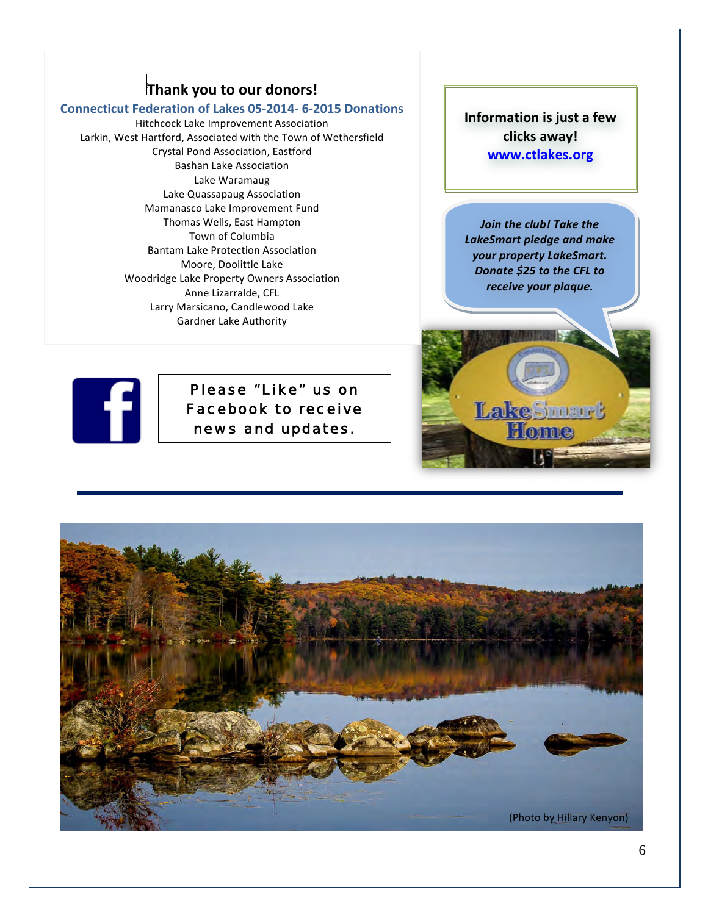## **Thank you to our donors!**

### **Connecticut Federation of Lakes 05-2014- 6-2015 Donations**

Hitchcock Lake Improvement Association Larkin, West Hartford, Associated with the Town of Wethersfield Crystal Pond Association, Eastford Bashan Lake Association Lake Waramaug Lake Quassapaug Association Mamanasco Lake Improvement Fund Thomas Wells, East Hampton Town of Columbia Bantam Lake Protection Association Moore, Doolittle Lake Woodridge Lake Property Owners Association Anne Lizarralde, CFL Larry Marsicano, Candlewood Lake Gardner Lake Authority

**Information is just a few clicks away! www.ctlakes.org**

*Join* the club! Take the **LakeSmart pledge and make** *your property LakeSmart.* **Donate \$25 to the CFL to** *receive your plaque.*

LakeSmart Home



Please "Like" us on Facebook to receive news and updates.